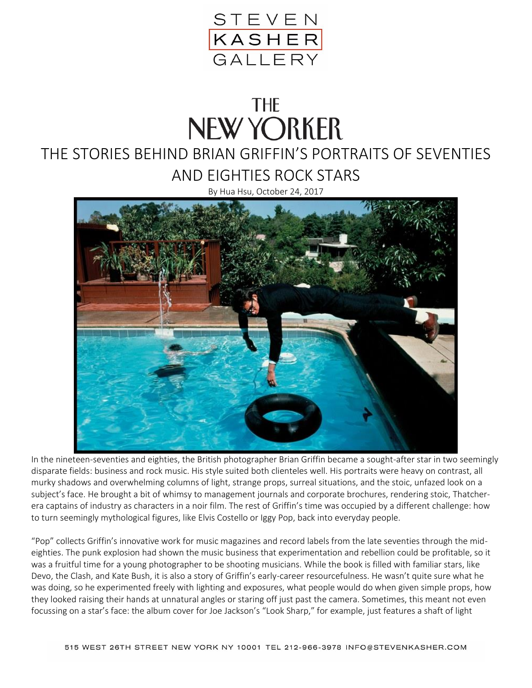

## **THE NEW YORKER**

## THE STORIES BEHIND BRIAN GRIFFIN'S PORTRAITS OF SEVENTIES AND EIGHTIES ROCK STARS

By Hua Hsu, October 24, 2017



In the nineteen-seventies and eighties, the British photographer Brian Griffin became a sought-after star in two seemingly disparate fields: business and rock music. His style suited both clienteles well. His portraits were heavy on contrast, all murky shadows and overwhelming columns of light, strange props, surreal situations, and the stoic, unfazed look on a subject's face. He brought a bit of whimsy to management journals and corporate brochures, rendering stoic, Thatcherera captains of industry as characters in a noir film. The rest of Griffin's time was occupied by a different challenge: how to turn seemingly mythological figures, like Elvis Costello or Iggy Pop, back into everyday people.

"Pop" collects Griffin's innovative work for music magazines and record labels from the late seventies through the mideighties. The punk explosion had shown the music business that experimentation and rebellion could be profitable, so it was a fruitful time for a young photographer to be shooting musicians. While the book is filled with familiar stars, like Devo, the Clash, and Kate Bush, it is also a story of Griffin's early-career resourcefulness. He wasn't quite sure what he was doing, so he experimented freely with lighting and exposures, what people would do when given simple props, how they looked raising their hands at unnatural angles or staring off just past the camera. Sometimes, this meant not even focussing on a star's face: the album cover for Joe Jackson's "Look Sharp," for example, just features a shaft of light